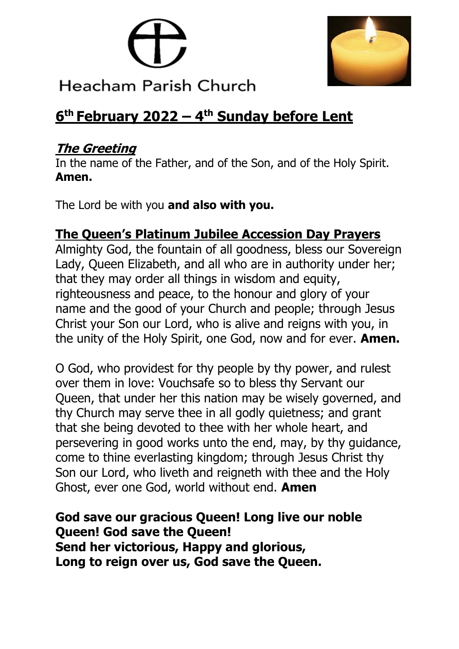



# **Heacham Parish Church**

# **6 th February 2022 – 4 th Sunday before Lent**

#### **The Greeting**

In the name of the Father, and of the Son, and of the Holy Spirit. **Amen.**

The Lord be with you **and also with you.**

# **The Queen's Platinum Jubilee Accession Day Prayers**

Almighty God, the fountain of all goodness, bless our Sovereign Lady, Queen Elizabeth, and all who are in authority under her; that they may order all things in wisdom and equity, righteousness and peace, to the honour and glory of your name and the good of your Church and people; through Jesus Christ your Son our Lord, who is alive and reigns with you, in the unity of the Holy Spirit, one God, now and for ever. **Amen.**

O God, who providest for thy people by thy power, and rulest over them in love: Vouchsafe so to bless thy Servant our Queen, that under her this nation may be wisely governed, and thy Church may serve thee in all godly quietness; and grant that she being devoted to thee with her whole heart, and persevering in good works unto the end, may, by thy guidance, come to thine everlasting kingdom; through Jesus Christ thy Son our Lord, who liveth and reigneth with thee and the Holy Ghost, ever one God, world without end. **Amen**

**God save our gracious Queen! Long live our noble Queen! God save the Queen! Send her victorious, Happy and glorious, Long to reign over us, God save the Queen.**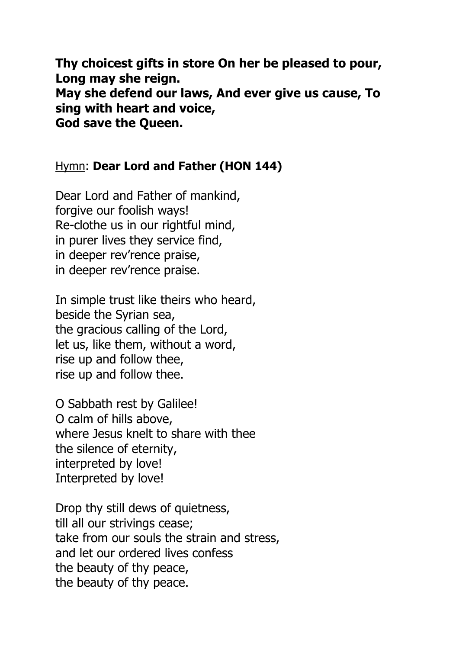**Thy choicest gifts in store On her be pleased to pour, Long may she reign. May she defend our laws, And ever give us cause, To sing with heart and voice, God save the Queen.**

#### Hymn: **Dear Lord and Father (HON 144)**

Dear Lord and Father of mankind, forgive our foolish ways! Re-clothe us in our rightful mind, in purer lives they service find, in deeper rev'rence praise, in deeper rev'rence praise.

In simple trust like theirs who heard, beside the Syrian sea, the gracious calling of the Lord, let us, like them, without a word, rise up and follow thee, rise up and follow thee.

O Sabbath rest by Galilee! O calm of hills above, where Jesus knelt to share with thee the silence of eternity, interpreted by love! Interpreted by love!

Drop thy still dews of quietness, till all our strivings cease; take from our souls the strain and stress, and let our ordered lives confess the beauty of thy peace, the beauty of thy peace.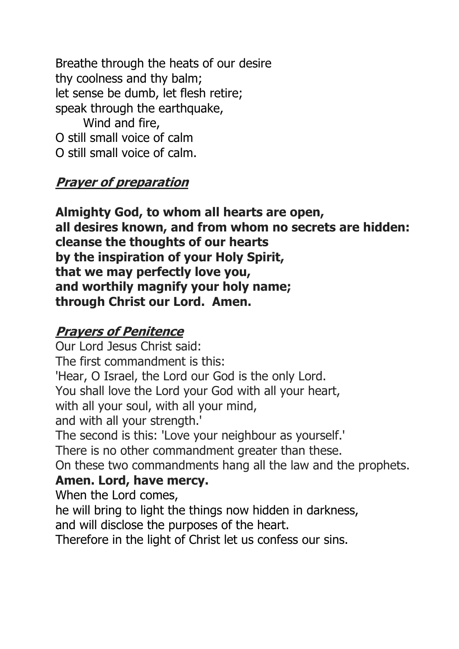Breathe through the heats of our desire thy coolness and thy balm; let sense be dumb, let flesh retire; speak through the earthquake, Wind and fire, O still small voice of calm O still small voice of calm.

### **Prayer of preparation**

**Almighty God, to whom all hearts are open, all desires known, and from whom no secrets are hidden: cleanse the thoughts of our hearts by the inspiration of your Holy Spirit, that we may perfectly love you, and worthily magnify your holy name; through Christ our Lord. Amen.**

#### **Prayers of Penitence**

Our Lord Jesus Christ said: The first commandment is this: 'Hear, O Israel, the Lord our God is the only Lord. You shall love the Lord your God with all your heart, with all your soul, with all your mind, and with all your strength.' The second is this: 'Love your neighbour as yourself.' There is no other commandment greater than these. On these two commandments hang all the law and the prophets. **Amen. Lord, have mercy.** When the Lord comes, he will bring to light the things now hidden in darkness, and will disclose the purposes of the heart. Therefore in the light of Christ let us confess our sins.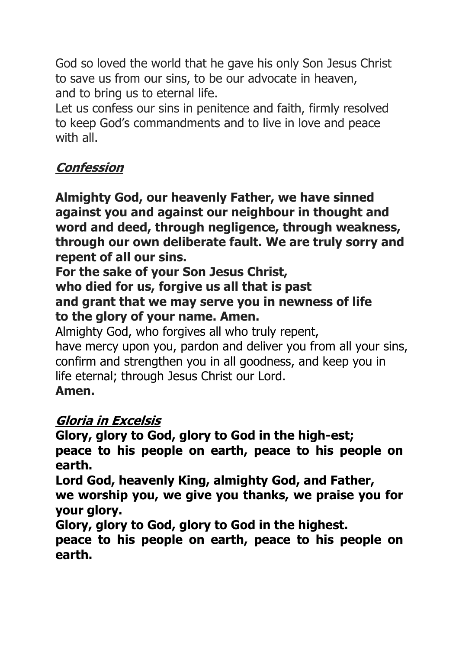God so loved the world that he gave his only Son Jesus Christ to save us from our sins, to be our advocate in heaven, and to bring us to eternal life.

Let us confess our sins in penitence and faith, firmly resolved to keep God's commandments and to live in love and peace with all.

# **Confession**

**Almighty God, our heavenly Father, we have sinned against you and against our neighbour in thought and word and deed, through negligence, through weakness, through our own deliberate fault. We are truly sorry and repent of all our sins.**

**For the sake of your Son Jesus Christ,**

**who died for us, forgive us all that is past and grant that we may serve you in newness of life to the glory of your name. Amen.**

Almighty God, who forgives all who truly repent, have mercy upon you, pardon and deliver you from all your sins, confirm and strengthen you in all goodness, and keep you in life eternal; through Jesus Christ our Lord. **Amen.**

#### **Gloria in Excelsis**

**Glory, glory to God, glory to God in the high-est; peace to his people on earth, peace to his people on earth.** 

**Lord God, heavenly King, almighty God, and Father, we worship you, we give you thanks, we praise you for your glory.**

**Glory, glory to God, glory to God in the highest.**

**peace to his people on earth, peace to his people on earth.**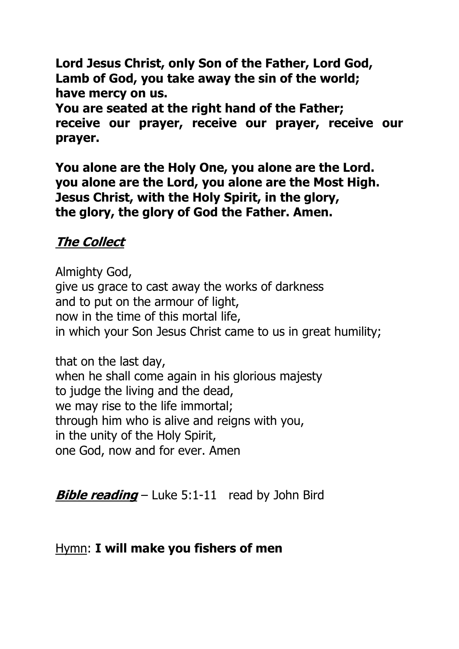**Lord Jesus Christ, only Son of the Father, Lord God, Lamb of God, you take away the sin of the world; have mercy on us.** 

**You are seated at the right hand of the Father; receive our prayer, receive our prayer, receive our prayer.** 

**You alone are the Holy One, you alone are the Lord. you alone are the Lord, you alone are the Most High. Jesus Christ, with the Holy Spirit, in the glory, the glory, the glory of God the Father. Amen.**

### **The Collect**

Almighty God, give us grace to cast away the works of darkness and to put on the armour of light, now in the time of this mortal life, in which your Son Jesus Christ came to us in great humility;

that on the last day, when he shall come again in his glorious majesty to judge the living and the dead, we may rise to the life immortal; through him who is alive and reigns with you, in the unity of the Holy Spirit, one God, now and for ever. Amen

**Bible reading** – Luke 5:1-11 read by John Bird

#### Hymn: **I will make you fishers of men**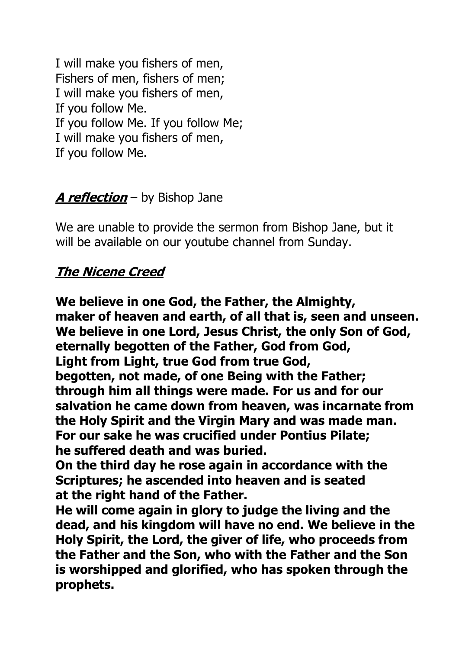I will make you fishers of men, Fishers of men, fishers of men; I will make you fishers of men, If you follow Me. If you follow Me. If you follow Me; I will make you fishers of men, If you follow Me.

# **A reflection** – by Bishop Jane

We are unable to provide the sermon from Bishop Jane, but it will be available on our youtube channel from Sunday.

# **The Nicene Creed**

**We believe in one God, the Father, the Almighty, maker of heaven and earth, of all that is, seen and unseen. We believe in one Lord, Jesus Christ, the only Son of God, eternally begotten of the Father, God from God, Light from Light, true God from true God, begotten, not made, of one Being with the Father; through him all things were made. For us and for our salvation he came down from heaven, was incarnate from the Holy Spirit and the Virgin Mary and was made man. For our sake he was crucified under Pontius Pilate; he suffered death and was buried.**

**On the third day he rose again in accordance with the Scriptures; he ascended into heaven and is seated at the right hand of the Father.**

**He will come again in glory to judge the living and the dead, and his kingdom will have no end. We believe in the Holy Spirit, the Lord, the giver of life, who proceeds from the Father and the Son, who with the Father and the Son is worshipped and glorified, who has spoken through the prophets.**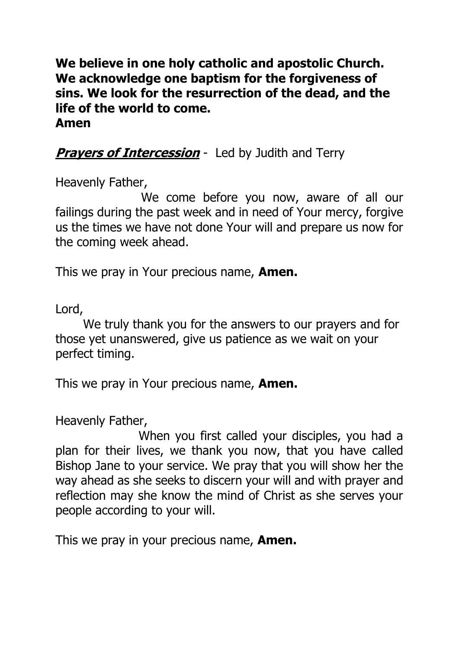**We believe in one holy catholic and apostolic Church. We acknowledge one baptism for the forgiveness of sins. We look for the resurrection of the dead, and the life of the world to come. Amen**

### **Prayers of Intercession** - Led by Judith and Terry

Heavenly Father,

 We come before you now, aware of all our failings during the past week and in need of Your mercy, forgive us the times we have not done Your will and prepare us now for the coming week ahead.

This we pray in Your precious name, **Amen.**

Lord,

We truly thank you for the answers to our prayers and for those yet unanswered, give us patience as we wait on your perfect timing.

This we pray in Your precious name, **Amen.**

Heavenly Father,

When you first called your disciples, you had a plan for their lives, we thank you now, that you have called Bishop Jane to your service. We pray that you will show her the way ahead as she seeks to discern your will and with prayer and reflection may she know the mind of Christ as she serves your people according to your will.

This we pray in your precious name, **Amen.**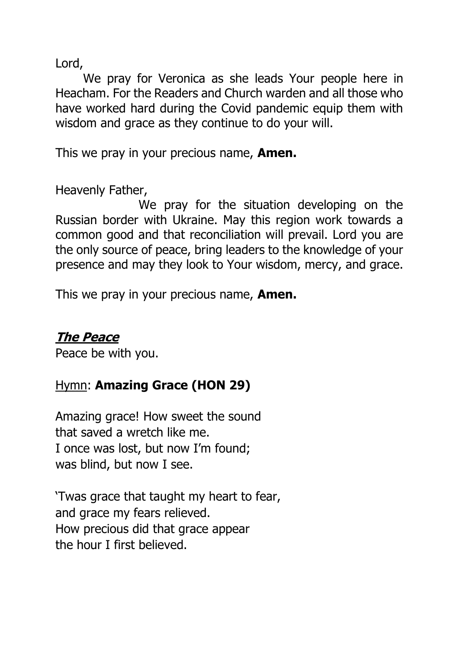Lord,

We pray for Veronica as she leads Your people here in Heacham. For the Readers and Church warden and all those who have worked hard during the Covid pandemic equip them with wisdom and grace as they continue to do your will.

This we pray in your precious name, **Amen.**

Heavenly Father,

We pray for the situation developing on the Russian border with Ukraine. May this region work towards a common good and that reconciliation will prevail. Lord you are the only source of peace, bring leaders to the knowledge of your presence and may they look to Your wisdom, mercy, and grace.

This we pray in your precious name, **Amen.**

### **The Peace**

Peace be with you.

### Hymn: **Amazing Grace (HON 29)**

Amazing grace! How sweet the sound that saved a wretch like me. I once was lost, but now I'm found; was blind, but now I see.

'Twas grace that taught my heart to fear, and grace my fears relieved. How precious did that grace appear the hour I first believed.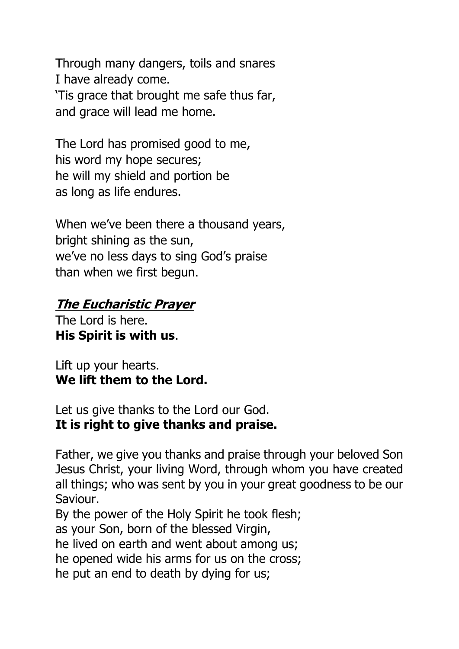Through many dangers, toils and snares I have already come. 'Tis grace that brought me safe thus far, and grace will lead me home.

The Lord has promised good to me, his word my hope secures; he will my shield and portion be as long as life endures.

When we've been there a thousand years, bright shining as the sun, we've no less days to sing God's praise than when we first begun.

#### **The Eucharistic Prayer**

The Lord is here. **His Spirit is with us**.

Lift up your hearts. **We lift them to the Lord.**

Let us give thanks to the Lord our God. **It is right to give thanks and praise.**

Father, we give you thanks and praise through your beloved Son Jesus Christ, your living Word, through whom you have created all things; who was sent by you in your great goodness to be our Saviour.

By the power of the Holy Spirit he took flesh;

as your Son, born of the blessed Virgin,

he lived on earth and went about among us;

he opened wide his arms for us on the cross;

he put an end to death by dying for us;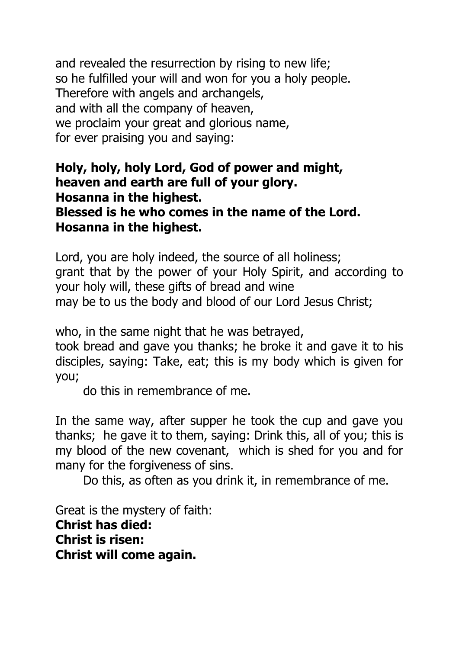and revealed the resurrection by rising to new life; so he fulfilled your will and won for you a holy people. Therefore with angels and archangels, and with all the company of heaven, we proclaim your great and glorious name, for ever praising you and saying:

#### **Holy, holy, holy Lord, God of power and might, heaven and earth are full of your glory. Hosanna in the highest. Blessed is he who comes in the name of the Lord. Hosanna in the highest.**

Lord, you are holy indeed, the source of all holiness; grant that by the power of your Holy Spirit, and according to your holy will, these gifts of bread and wine may be to us the body and blood of our Lord Jesus Christ;

who, in the same night that he was betrayed,

took bread and gave you thanks; he broke it and gave it to his disciples, saying: Take, eat; this is my body which is given for you;

do this in remembrance of me.

In the same way, after supper he took the cup and gave you thanks; he gave it to them, saying: Drink this, all of you; this is my blood of the new covenant, which is shed for you and for many for the forgiveness of sins.

Do this, as often as you drink it, in remembrance of me.

Great is the mystery of faith: **Christ has died: Christ is risen: Christ will come again.**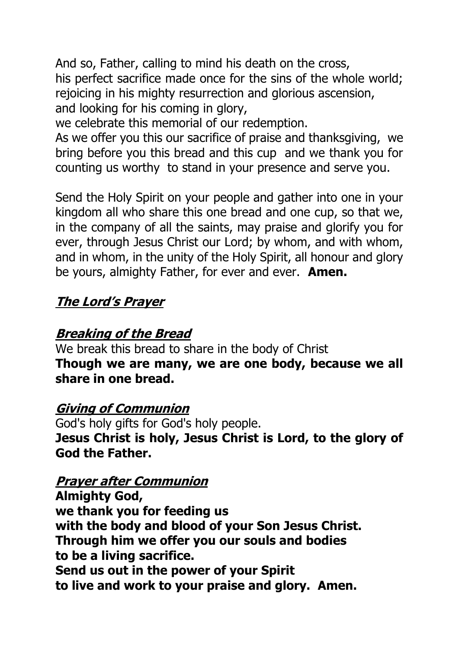And so, Father, calling to mind his death on the cross, his perfect sacrifice made once for the sins of the whole world; rejoicing in his mighty resurrection and glorious ascension, and looking for his coming in glory,

we celebrate this memorial of our redemption.

As we offer you this our sacrifice of praise and thanksgiving, we bring before you this bread and this cup and we thank you for counting us worthy to stand in your presence and serve you.

Send the Holy Spirit on your people and gather into one in your kingdom all who share this one bread and one cup, so that we, in the company of all the saints, may praise and glorify you for ever, through Jesus Christ our Lord; by whom, and with whom, and in whom, in the unity of the Holy Spirit, all honour and glory be yours, almighty Father, for ever and ever. **Amen.**

# **The Lord's Prayer**

# **Breaking of the Bread**

We break this bread to share in the body of Christ **Though we are many, we are one body, because we all share in one bread.**

### **Giving of Communion**

God's holy gifts for God's holy people. **Jesus Christ is holy, Jesus Christ is Lord, to the glory of God the Father.**

#### **Prayer after Communion**

**Almighty God, we thank you for feeding us with the body and blood of your Son Jesus Christ. Through him we offer you our souls and bodies to be a living sacrifice. Send us out in the power of your Spirit to live and work to your praise and glory. Amen.**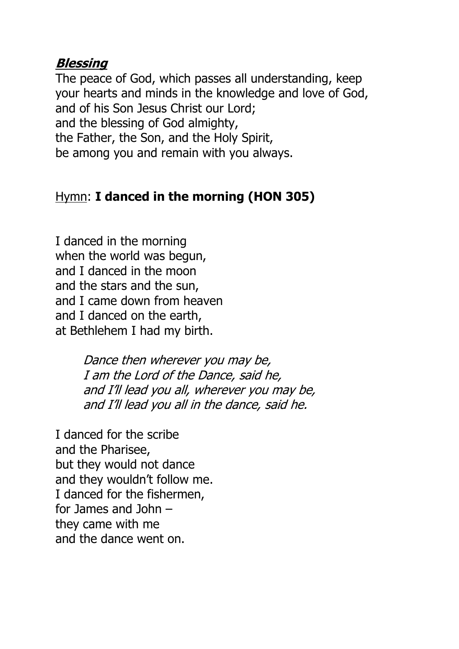#### **Blessing**

The peace of God, which passes all understanding, keep your hearts and minds in the knowledge and love of God, and of his Son Jesus Christ our Lord; and the blessing of God almighty, the Father, the Son, and the Holy Spirit, be among you and remain with you always.

### Hymn: **I danced in the morning (HON 305)**

I danced in the morning when the world was begun, and I danced in the moon and the stars and the sun, and I came down from heaven and I danced on the earth, at Bethlehem I had my birth.

> Dance then wherever you may be, I am the Lord of the Dance, said he, <sup>a</sup>nd I'll lead you all, wherever you may be, <sup>a</sup>nd I'll lead you all in the dance, said he.

I danced for the scribe and the Pharisee, but they would not dance and they wouldn't follow me. I danced for the fishermen, for James and John – they came with me and the dance went on.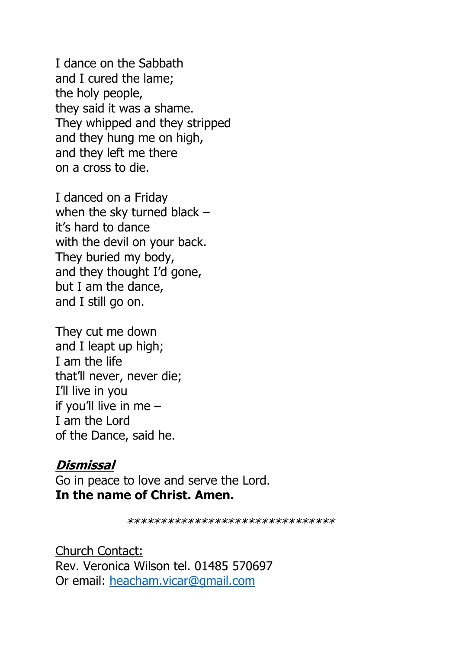I dance on the Sabbath and I cured the lame; the holy people, they said it was a shame. They whipped and they stripped and they hung me on high, and they left me there on a cross to die.

I danced on a Friday when the sky turned black – it's hard to dance with the devil on your back. They buried my body, and they thought I'd gone, but I am the dance, and I still go on.

They cut me down and I leapt up high; I am the life that'll never, never die; I'll live in you if you'll live in me – I am the Lord of the Dance, said he.

#### **Dismissal**

Go in peace to love and serve the Lord. **In the name of Christ. Amen.**

\*\*\*\*\*\*\*\*\*\*\*\*\*\*\*\*\*\*\*\*\*\*\*\*\*\*\*\*\*\*\*

Church Contact: Rev. Veronica Wilson tel. 01485 570697 Or email: [heacham.vicar@gmail.com](mailto:heacham.vicar@gmail.com)